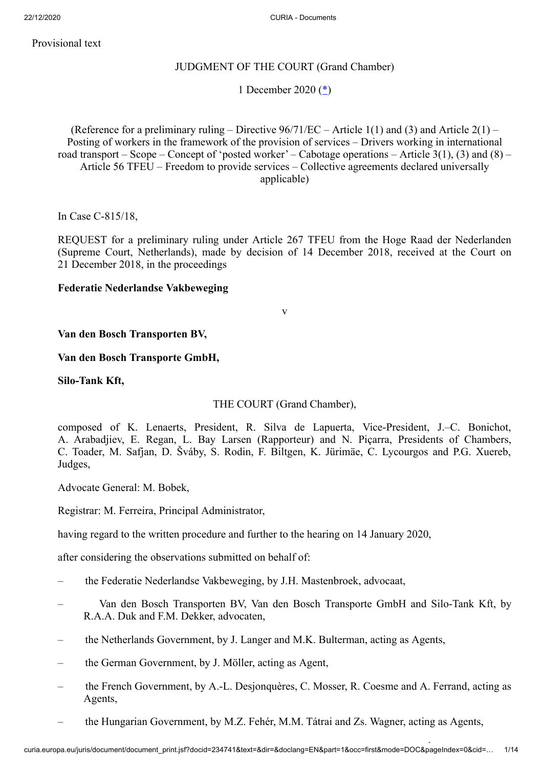## Provisional text

## JUDGMENT OF THE COURT (Grand Chamber)

## <span id="page-0-0"></span>1 December 2020 [\(\\*](#page-13-0))

(Reference for a preliminary ruling – Directive  $96/71/EC$  – Article 1(1) and (3) and Article 2(1) – Posting of workers in the framework of the provision of services – Drivers working in international road transport – Scope – Concept of 'posted worker' – Cabotage operations – Article  $3(1)$ ,  $(3)$  and  $(8)$  – Article 56 TFEU – Freedom to provide services – Collective agreements declared universally applicable)

In Case C‑815/18,

REQUEST for a preliminary ruling under Article 267 TFEU from the Hoge Raad der Nederlanden (Supreme Court, Netherlands), made by decision of 14 December 2018, received at the Court on 21 December 2018, in the proceedings

## **Federatie Nederlandse Vakbeweging**

v

**Van den Bosch Transporten BV,**

## **Van den Bosch Transporte GmbH,**

**Silo-Tank Kft,**

THE COURT (Grand Chamber),

composed of K. Lenaerts, President, R. Silva de Lapuerta, Vice-President, J.–C. Bonichot, A. Arabadjiev, E. Regan, L. Bay Larsen (Rapporteur) and N. Piçarra, Presidents of Chambers, C. Toader, M. Safjan, D. Šváby, S. Rodin, F. Biltgen, K. Jürimäe, C. Lycourgos and P.G. Xuereb, Judges,

Advocate General: M. Bobek,

Registrar: M. Ferreira, Principal Administrator,

having regard to the written procedure and further to the hearing on 14 January 2020,

after considering the observations submitted on behalf of:

- the Federatie Nederlandse Vakbeweging, by J.H. Mastenbroek, advocaat,
- Van den Bosch Transporten BV, Van den Bosch Transporte GmbH and Silo-Tank Kft, by R.A.A. Duk and F.M. Dekker, advocaten,
- the Netherlands Government, by J. Langer and M.K. Bulterman, acting as Agents,
- the German Government, by J. Möller, acting as Agent,
- the French Government, by A.-L. Desjonquères, C. Mosser, R. Coesme and A. Ferrand, acting as Agents,
- the Hungarian Government, by M.Z. Fehér, M.M. Tátrai and Zs. Wagner, acting as Agents,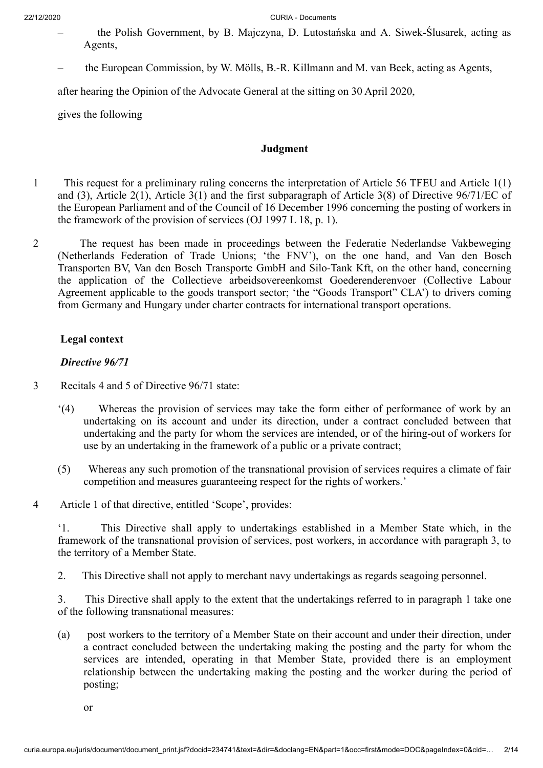- the Polish Government, by B. Majczyna, D. Lutostańska and A. Siwek-Ślusarek, acting as Agents,
- the European Commission, by W. Mölls, B.-R. Killmann and M. van Beek, acting as Agents,

after hearing the Opinion of the Advocate General at the sitting on 30 April 2020,

gives the following

## **Judgment**

- 1 This request for a preliminary ruling concerns the interpretation of Article 56 TFEU and Article 1(1) and (3), Article 2(1), Article 3(1) and the first subparagraph of Article 3(8) of Directive 96/71/EC of the European Parliament and of the Council of 16 December 1996 concerning the posting of workers in the framework of the provision of services (OJ 1997 L 18, p. 1).
- 2 The request has been made in proceedings between the Federatie Nederlandse Vakbeweging (Netherlands Federation of Trade Unions; 'the FNV'), on the one hand, and Van den Bosch Transporten BV, Van den Bosch Transporte GmbH and Silo-Tank Kft, on the other hand, concerning the application of the Collectieve arbeidsovereenkomst Goederenderenvoer (Collective Labour Agreement applicable to the goods transport sector; 'the "Goods Transport" CLA') to drivers coming from Germany and Hungary under charter contracts for international transport operations.

## **Legal context**

## *Directive 96/71*

- 3 Recitals 4 and 5 of Directive 96/71 state:
	- '(4) Whereas the provision of services may take the form either of performance of work by an undertaking on its account and under its direction, under a contract concluded between that undertaking and the party for whom the services are intended, or of the hiring-out of workers for use by an undertaking in the framework of a public or a private contract;
	- (5) Whereas any such promotion of the transnational provision of services requires a climate of fair competition and measures guaranteeing respect for the rights of workers.'
- 4 Article 1 of that directive, entitled 'Scope', provides:

'1. This Directive shall apply to undertakings established in a Member State which, in the framework of the transnational provision of services, post workers, in accordance with paragraph 3, to the territory of a Member State.

2. This Directive shall not apply to merchant navy undertakings as regards seagoing personnel.

3. This Directive shall apply to the extent that the undertakings referred to in paragraph 1 take one of the following transnational measures:

(a) post workers to the territory of a Member State on their account and under their direction, under a contract concluded between the undertaking making the posting and the party for whom the services are intended, operating in that Member State, provided there is an employment relationship between the undertaking making the posting and the worker during the period of posting;

or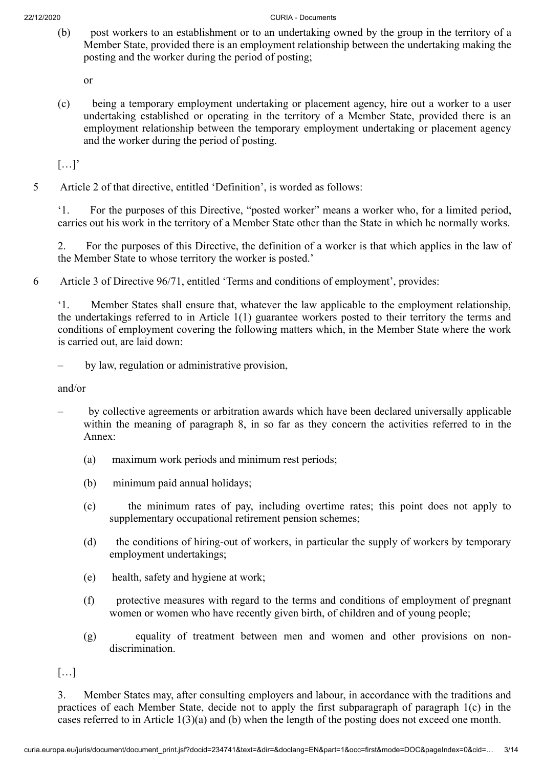(b) post workers to an establishment or to an undertaking owned by the group in the territory of a Member State, provided there is an employment relationship between the undertaking making the posting and the worker during the period of posting;

or

(c) being a temporary employment undertaking or placement agency, hire out a worker to a user undertaking established or operating in the territory of a Member State, provided there is an employment relationship between the temporary employment undertaking or placement agency and the worker during the period of posting.

 $[\ldots]'$ 

5 Article 2 of that directive, entitled 'Definition', is worded as follows:

'1. For the purposes of this Directive, "posted worker" means a worker who, for a limited period, carries out his work in the territory of a Member State other than the State in which he normally works.

2. For the purposes of this Directive, the definition of a worker is that which applies in the law of the Member State to whose territory the worker is posted.'

6 Article 3 of Directive 96/71, entitled 'Terms and conditions of employment', provides:

'1. Member States shall ensure that, whatever the law applicable to the employment relationship, the undertakings referred to in Article 1(1) guarantee workers posted to their territory the terms and conditions of employment covering the following matters which, in the Member State where the work is carried out, are laid down:

– by law, regulation or administrative provision,

and/or

- by collective agreements or arbitration awards which have been declared universally applicable within the meaning of paragraph 8, in so far as they concern the activities referred to in the Annex:
	- (a) maximum work periods and minimum rest periods;
	- (b) minimum paid annual holidays;
	- (c) the minimum rates of pay, including overtime rates; this point does not apply to supplementary occupational retirement pension schemes;
	- (d) the conditions of hiring-out of workers, in particular the supply of workers by temporary employment undertakings;
	- (e) health, safety and hygiene at work;
	- (f) protective measures with regard to the terms and conditions of employment of pregnant women or women who have recently given birth, of children and of young people;
	- (g) equality of treatment between men and women and other provisions on nondiscrimination.

[…]

3. Member States may, after consulting employers and labour, in accordance with the traditions and practices of each Member State, decide not to apply the first subparagraph of paragraph 1(c) in the cases referred to in Article 1(3)(a) and (b) when the length of the posting does not exceed one month.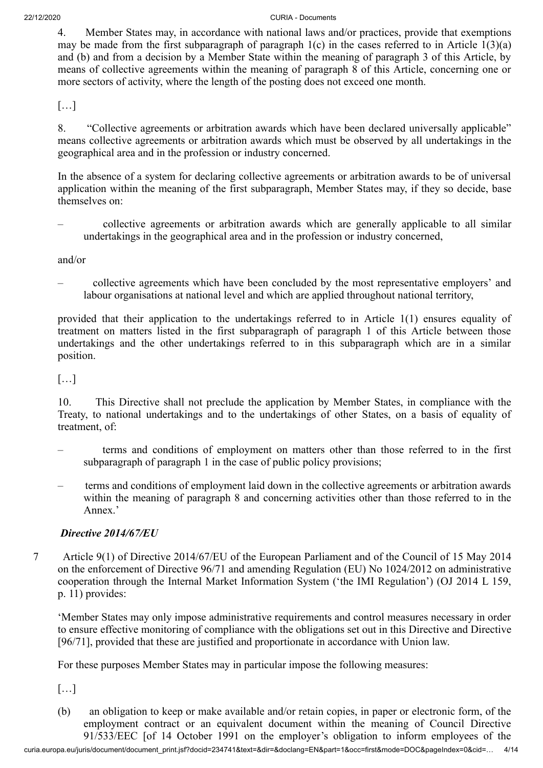4. Member States may, in accordance with national laws and/or practices, provide that exemptions may be made from the first subparagraph of paragraph  $1(c)$  in the cases referred to in Article  $1(3)(a)$ and (b) and from a decision by a Member State within the meaning of paragraph 3 of this Article, by means of collective agreements within the meaning of paragraph 8 of this Article, concerning one or more sectors of activity, where the length of the posting does not exceed one month.

 $[\ldots]$ 

8. "Collective agreements or arbitration awards which have been declared universally applicable" means collective agreements or arbitration awards which must be observed by all undertakings in the geographical area and in the profession or industry concerned.

In the absence of a system for declaring collective agreements or arbitration awards to be of universal application within the meaning of the first subparagraph, Member States may, if they so decide, base themselves on:

– collective agreements or arbitration awards which are generally applicable to all similar undertakings in the geographical area and in the profession or industry concerned,

and/or

– collective agreements which have been concluded by the most representative employers' and labour organisations at national level and which are applied throughout national territory,

provided that their application to the undertakings referred to in Article 1(1) ensures equality of treatment on matters listed in the first subparagraph of paragraph 1 of this Article between those undertakings and the other undertakings referred to in this subparagraph which are in a similar position.

[…]

10. This Directive shall not preclude the application by Member States, in compliance with the Treaty, to national undertakings and to the undertakings of other States, on a basis of equality of treatment, of:

- terms and conditions of employment on matters other than those referred to in the first subparagraph of paragraph 1 in the case of public policy provisions;
- terms and conditions of employment laid down in the collective agreements or arbitration awards within the meaning of paragraph 8 and concerning activities other than those referred to in the Annex<sup>'</sup>

# *Directive 2014/67/EU*

7 Article 9(1) of Directive 2014/67/EU of the European Parliament and of the Council of 15 May 2014 on the enforcement of Directive 96/71 and amending Regulation (EU) No 1024/2012 on administrative cooperation through the Internal Market Information System ('the IMI Regulation') (OJ 2014 L 159, p. 11) provides:

'Member States may only impose administrative requirements and control measures necessary in order to ensure effective monitoring of compliance with the obligations set out in this Directive and Directive [96/71], provided that these are justified and proportionate in accordance with Union law.

For these purposes Member States may in particular impose the following measures:

[…]

(b) an obligation to keep or make available and/or retain copies, in paper or electronic form, of the employment contract or an equivalent document within the meaning of Council Directive 91/533/EEC [of 14 October 1991 on the employer's obligation to inform employees of the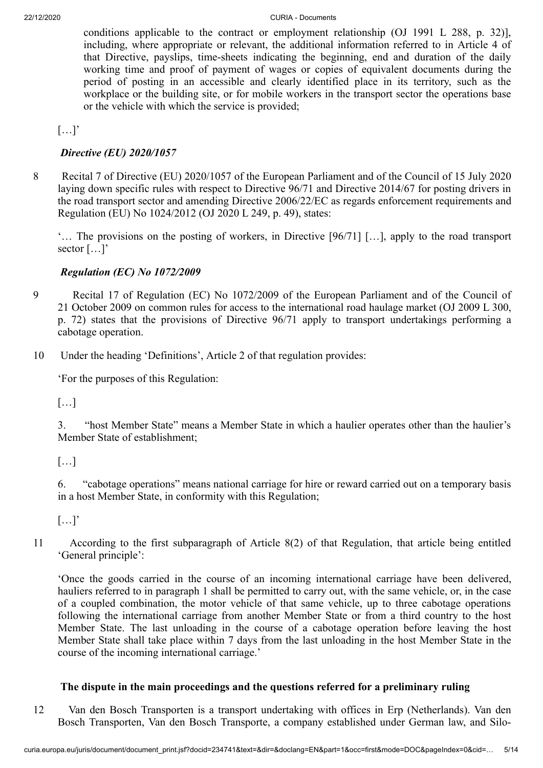conditions applicable to the contract or employment relationship (OJ 1991 L 288, p. 32)], including, where appropriate or relevant, the additional information referred to in Article 4 of that Directive, payslips, time-sheets indicating the beginning, end and duration of the daily working time and proof of payment of wages or copies of equivalent documents during the period of posting in an accessible and clearly identified place in its territory, such as the workplace or the building site, or for mobile workers in the transport sector the operations base or the vehicle with which the service is provided;

 $[\ldots]'$ 

# *Directive (EU) 2020/1057*

8 Recital 7 of Directive (EU) 2020/1057 of the European Parliament and of the Council of 15 July 2020 laying down specific rules with respect to Directive 96/71 and Directive 2014/67 for posting drivers in the road transport sector and amending Directive 2006/22/EC as regards enforcement requirements and Regulation (EU) No 1024/2012 (OJ 2020 L 249, p. 49), states:

'… The provisions on the posting of workers, in Directive [96/71] […], apply to the road transport sector […]'

# *Regulation (EC) No 1072/2009*

- 9 Recital 17 of Regulation (EC) No 1072/2009 of the European Parliament and of the Council of 21 October 2009 on common rules for access to the international road haulage market (OJ 2009 L 300, p. 72) states that the provisions of Directive 96/71 apply to transport undertakings performing a cabotage operation.
- 10 Under the heading 'Definitions', Article 2 of that regulation provides:

'For the purposes of this Regulation:

[…]

3. "host Member State" means a Member State in which a haulier operates other than the haulier's Member State of establishment;

 $[\dots]$ 

6. "cabotage operations" means national carriage for hire or reward carried out on a temporary basis in a host Member State, in conformity with this Regulation;

 $[\ldots]$ 

11 According to the first subparagraph of Article 8(2) of that Regulation, that article being entitled 'General principle':

'Once the goods carried in the course of an incoming international carriage have been delivered, hauliers referred to in paragraph 1 shall be permitted to carry out, with the same vehicle, or, in the case of a coupled combination, the motor vehicle of that same vehicle, up to three cabotage operations following the international carriage from another Member State or from a third country to the host Member State. The last unloading in the course of a cabotage operation before leaving the host Member State shall take place within 7 days from the last unloading in the host Member State in the course of the incoming international carriage.'

# **The dispute in the main proceedings and the questions referred for a preliminary ruling**

12 Van den Bosch Transporten is a transport undertaking with offices in Erp (Netherlands). Van den Bosch Transporten, Van den Bosch Transporte, a company established under German law, and Silo-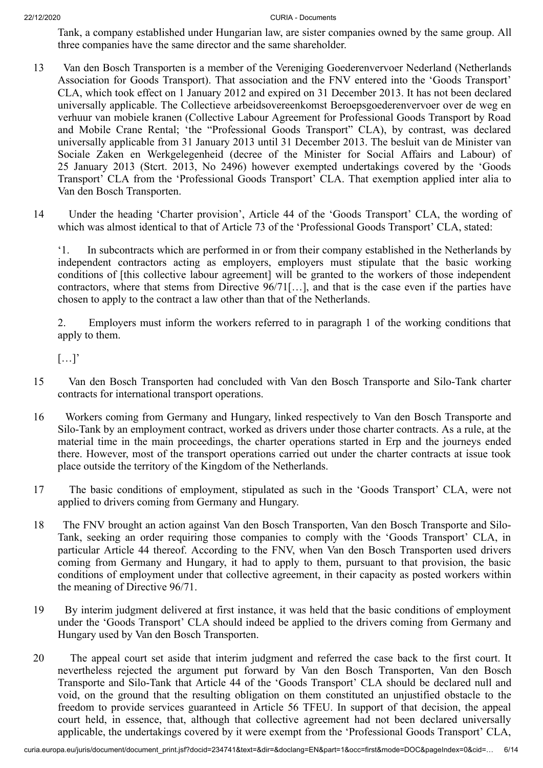Tank, a company established under Hungarian law, are sister companies owned by the same group. All three companies have the same director and the same shareholder.

- 13 Van den Bosch Transporten is a member of the Vereniging Goederenvervoer Nederland (Netherlands Association for Goods Transport). That association and the FNV entered into the 'Goods Transport' CLA, which took effect on 1 January 2012 and expired on 31 December 2013. It has not been declared universally applicable. The Collectieve arbeidsovereenkomst Beroepsgoederenvervoer over de weg en verhuur van mobiele kranen (Collective Labour Agreement for Professional Goods Transport by Road and Mobile Crane Rental; 'the "Professional Goods Transport" CLA), by contrast, was declared universally applicable from 31 January 2013 until 31 December 2013. The besluit van de Minister van Sociale Zaken en Werkgelegenheid (decree of the Minister for Social Affairs and Labour) of 25 January 2013 (Stcrt. 2013, No 2496) however exempted undertakings covered by the 'Goods Transport' CLA from the 'Professional Goods Transport' CLA. That exemption applied inter alia to Van den Bosch Transporten.
- 14 Under the heading 'Charter provision', Article 44 of the 'Goods Transport' CLA, the wording of which was almost identical to that of Article 73 of the 'Professional Goods Transport' CLA, stated:

'1. In subcontracts which are performed in or from their company established in the Netherlands by independent contractors acting as employers, employers must stipulate that the basic working conditions of [this collective labour agreement] will be granted to the workers of those independent contractors, where that stems from Directive  $96/71$ [...], and that is the case even if the parties have chosen to apply to the contract a law other than that of the Netherlands.

2. Employers must inform the workers referred to in paragraph 1 of the working conditions that apply to them.

 $[\ldots]'$ 

- 15 Van den Bosch Transporten had concluded with Van den Bosch Transporte and Silo-Tank charter contracts for international transport operations.
- 16 Workers coming from Germany and Hungary, linked respectively to Van den Bosch Transporte and Silo-Tank by an employment contract, worked as drivers under those charter contracts. As a rule, at the material time in the main proceedings, the charter operations started in Erp and the journeys ended there. However, most of the transport operations carried out under the charter contracts at issue took place outside the territory of the Kingdom of the Netherlands.
- 17 The basic conditions of employment, stipulated as such in the 'Goods Transport' CLA, were not applied to drivers coming from Germany and Hungary.
- 18 The FNV brought an action against Van den Bosch Transporten, Van den Bosch Transporte and Silo-Tank, seeking an order requiring those companies to comply with the 'Goods Transport' CLA, in particular Article 44 thereof. According to the FNV, when Van den Bosch Transporten used drivers coming from Germany and Hungary, it had to apply to them, pursuant to that provision, the basic conditions of employment under that collective agreement, in their capacity as posted workers within the meaning of Directive 96/71.
- 19 By interim judgment delivered at first instance, it was held that the basic conditions of employment under the 'Goods Transport' CLA should indeed be applied to the drivers coming from Germany and Hungary used by Van den Bosch Transporten.
- 20 The appeal court set aside that interim judgment and referred the case back to the first court. It nevertheless rejected the argument put forward by Van den Bosch Transporten, Van den Bosch Transporte and Silo-Tank that Article 44 of the 'Goods Transport' CLA should be declared null and void, on the ground that the resulting obligation on them constituted an unjustified obstacle to the freedom to provide services guaranteed in Article 56 TFEU. In support of that decision, the appeal court held, in essence, that, although that collective agreement had not been declared universally applicable, the undertakings covered by it were exempt from the 'Professional Goods Transport' CLA,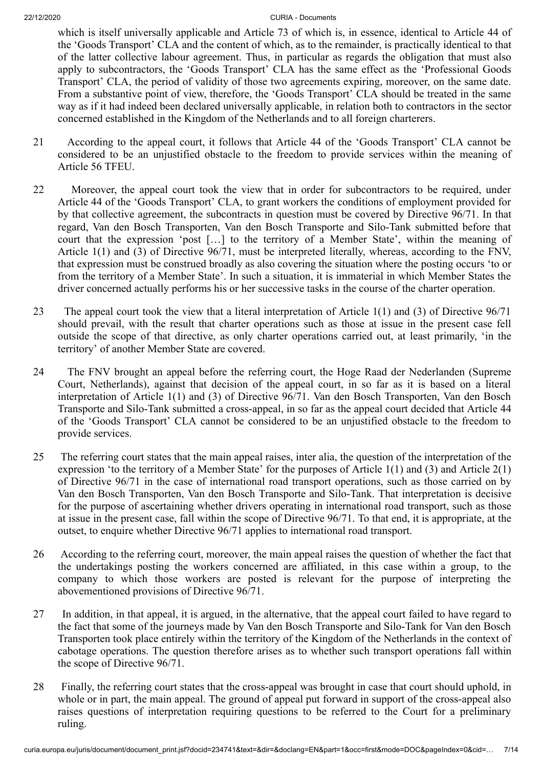which is itself universally applicable and Article 73 of which is, in essence, identical to Article 44 of the 'Goods Transport' CLA and the content of which, as to the remainder, is practically identical to that of the latter collective labour agreement. Thus, in particular as regards the obligation that must also apply to subcontractors, the 'Goods Transport' CLA has the same effect as the 'Professional Goods Transport' CLA, the period of validity of those two agreements expiring, moreover, on the same date. From a substantive point of view, therefore, the 'Goods Transport' CLA should be treated in the same way as if it had indeed been declared universally applicable, in relation both to contractors in the sector concerned established in the Kingdom of the Netherlands and to all foreign charterers.

- 21 According to the appeal court, it follows that Article 44 of the 'Goods Transport' CLA cannot be considered to be an unjustified obstacle to the freedom to provide services within the meaning of Article 56 TFEU.
- 22 Moreover, the appeal court took the view that in order for subcontractors to be required, under Article 44 of the 'Goods Transport' CLA, to grant workers the conditions of employment provided for by that collective agreement, the subcontracts in question must be covered by Directive 96/71. In that regard, Van den Bosch Transporten, Van den Bosch Transporte and Silo-Tank submitted before that court that the expression 'post […] to the territory of a Member State', within the meaning of Article 1(1) and (3) of Directive 96/71, must be interpreted literally, whereas, according to the FNV, that expression must be construed broadly as also covering the situation where the posting occurs 'to or from the territory of a Member State'. In such a situation, it is immaterial in which Member States the driver concerned actually performs his or her successive tasks in the course of the charter operation.
- 23 The appeal court took the view that a literal interpretation of Article 1(1) and (3) of Directive 96/71 should prevail, with the result that charter operations such as those at issue in the present case fell outside the scope of that directive, as only charter operations carried out, at least primarily, 'in the territory' of another Member State are covered.
- 24 The FNV brought an appeal before the referring court, the Hoge Raad der Nederlanden (Supreme Court, Netherlands), against that decision of the appeal court, in so far as it is based on a literal interpretation of Article 1(1) and (3) of Directive 96/71. Van den Bosch Transporten, Van den Bosch Transporte and Silo-Tank submitted a cross-appeal, in so far as the appeal court decided that Article 44 of the 'Goods Transport' CLA cannot be considered to be an unjustified obstacle to the freedom to provide services.
- 25 The referring court states that the main appeal raises, inter alia, the question of the interpretation of the expression 'to the territory of a Member State' for the purposes of Article 1(1) and (3) and Article 2(1) of Directive 96/71 in the case of international road transport operations, such as those carried on by Van den Bosch Transporten, Van den Bosch Transporte and Silo-Tank. That interpretation is decisive for the purpose of ascertaining whether drivers operating in international road transport, such as those at issue in the present case, fall within the scope of Directive 96/71. To that end, it is appropriate, at the outset, to enquire whether Directive 96/71 applies to international road transport.
- 26 According to the referring court, moreover, the main appeal raises the question of whether the fact that the undertakings posting the workers concerned are affiliated, in this case within a group, to the company to which those workers are posted is relevant for the purpose of interpreting the abovementioned provisions of Directive 96/71.
- 27 In addition, in that appeal, it is argued, in the alternative, that the appeal court failed to have regard to the fact that some of the journeys made by Van den Bosch Transporte and Silo-Tank for Van den Bosch Transporten took place entirely within the territory of the Kingdom of the Netherlands in the context of cabotage operations. The question therefore arises as to whether such transport operations fall within the scope of Directive 96/71.
- 28 Finally, the referring court states that the cross-appeal was brought in case that court should uphold, in whole or in part, the main appeal. The ground of appeal put forward in support of the cross-appeal also raises questions of interpretation requiring questions to be referred to the Court for a preliminary ruling.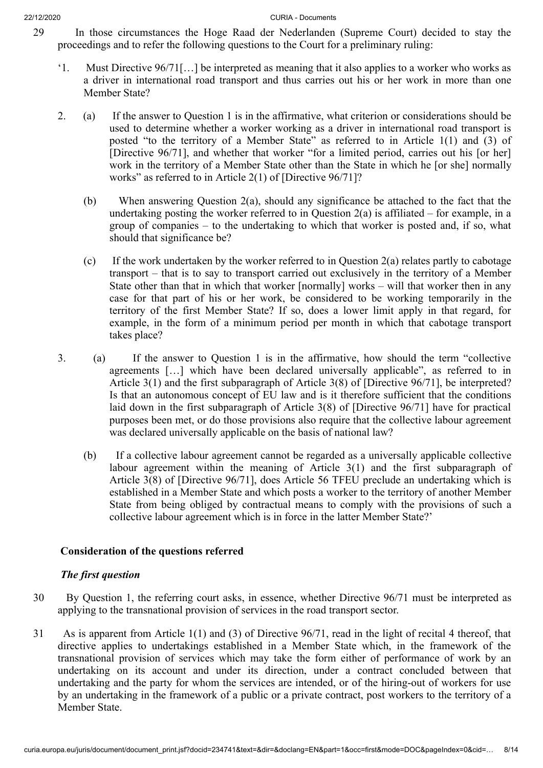- 29 In those circumstances the Hoge Raad der Nederlanden (Supreme Court) decided to stay the proceedings and to refer the following questions to the Court for a preliminary ruling:
	- '1. Must Directive 96/71[…] be interpreted as meaning that it also applies to a worker who works as a driver in international road transport and thus carries out his or her work in more than one Member State?
	- 2. (a) If the answer to Question 1 is in the affirmative, what criterion or considerations should be used to determine whether a worker working as a driver in international road transport is posted "to the territory of a Member State" as referred to in Article 1(1) and (3) of [Directive 96/71], and whether that worker "for a limited period, carries out his [or her] work in the territory of a Member State other than the State in which he [or she] normally works" as referred to in Article 2(1) of [Directive 96/71]?
		- (b) When answering Question 2(a), should any significance be attached to the fact that the undertaking posting the worker referred to in Question  $2(a)$  is affiliated – for example, in a group of companies – to the undertaking to which that worker is posted and, if so, what should that significance be?
		- (c) If the work undertaken by the worker referred to in Question 2(a) relates partly to cabotage transport – that is to say to transport carried out exclusively in the territory of a Member State other than that in which that worker [normally] works – will that worker then in any case for that part of his or her work, be considered to be working temporarily in the territory of the first Member State? If so, does a lower limit apply in that regard, for example, in the form of a minimum period per month in which that cabotage transport takes place?
	- 3. (a) If the answer to Question 1 is in the affirmative, how should the term "collective agreements […] which have been declared universally applicable", as referred to in Article 3(1) and the first subparagraph of Article 3(8) of [Directive 96/71], be interpreted? Is that an autonomous concept of EU law and is it therefore sufficient that the conditions laid down in the first subparagraph of Article 3(8) of [Directive 96/71] have for practical purposes been met, or do those provisions also require that the collective labour agreement was declared universally applicable on the basis of national law?
		- (b) If a collective labour agreement cannot be regarded as a universally applicable collective labour agreement within the meaning of Article 3(1) and the first subparagraph of Article 3(8) of [Directive 96/71], does Article 56 TFEU preclude an undertaking which is established in a Member State and which posts a worker to the territory of another Member State from being obliged by contractual means to comply with the provisions of such a collective labour agreement which is in force in the latter Member State?'

# **Consideration of the questions referred**

# *The first question*

- 30 By Question 1, the referring court asks, in essence, whether Directive 96/71 must be interpreted as applying to the transnational provision of services in the road transport sector.
- 31 As is apparent from Article 1(1) and (3) of Directive 96/71, read in the light of recital 4 thereof, that directive applies to undertakings established in a Member State which, in the framework of the transnational provision of services which may take the form either of performance of work by an undertaking on its account and under its direction, under a contract concluded between that undertaking and the party for whom the services are intended, or of the hiring-out of workers for use by an undertaking in the framework of a public or a private contract, post workers to the territory of a Member State.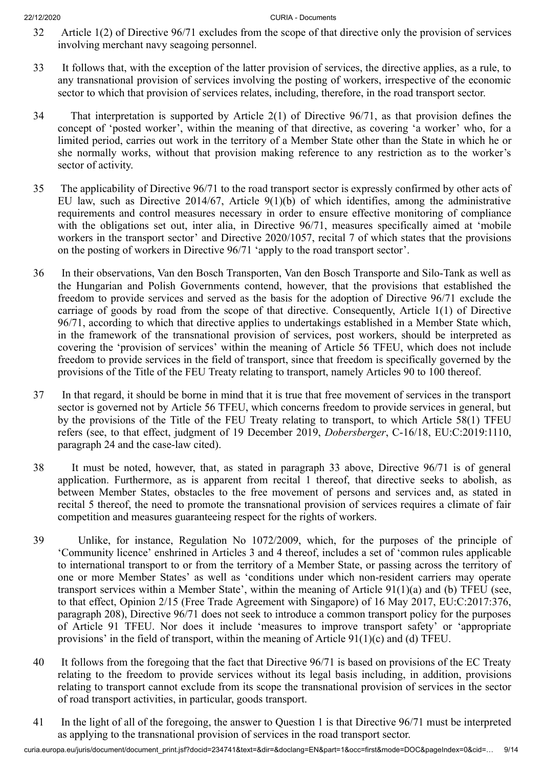- 32 Article 1(2) of Directive 96/71 excludes from the scope of that directive only the provision of services involving merchant navy seagoing personnel.
- 33 It follows that, with the exception of the latter provision of services, the directive applies, as a rule, to any transnational provision of services involving the posting of workers, irrespective of the economic sector to which that provision of services relates, including, therefore, in the road transport sector.
- 34 That interpretation is supported by Article 2(1) of Directive 96/71, as that provision defines the concept of 'posted worker', within the meaning of that directive, as covering 'a worker' who, for a limited period, carries out work in the territory of a Member State other than the State in which he or she normally works, without that provision making reference to any restriction as to the worker's sector of activity.
- 35 The applicability of Directive 96/71 to the road transport sector is expressly confirmed by other acts of EU law, such as Directive 2014/67, Article 9(1)(b) of which identifies, among the administrative requirements and control measures necessary in order to ensure effective monitoring of compliance with the obligations set out, inter alia, in Directive 96/71, measures specifically aimed at 'mobile workers in the transport sector' and Directive 2020/1057, recital 7 of which states that the provisions on the posting of workers in Directive 96/71 'apply to the road transport sector'.
- 36 In their observations, Van den Bosch Transporten, Van den Bosch Transporte and Silo-Tank as well as the Hungarian and Polish Governments contend, however, that the provisions that established the freedom to provide services and served as the basis for the adoption of Directive 96/71 exclude the carriage of goods by road from the scope of that directive. Consequently, Article 1(1) of Directive 96/71, according to which that directive applies to undertakings established in a Member State which, in the framework of the transnational provision of services, post workers, should be interpreted as covering the 'provision of services' within the meaning of Article 56 TFEU, which does not include freedom to provide services in the field of transport, since that freedom is specifically governed by the provisions of the Title of the FEU Treaty relating to transport, namely Articles 90 to 100 thereof.
- 37 In that regard, it should be borne in mind that it is true that free movement of services in the transport sector is governed not by Article 56 TFEU, which concerns freedom to provide services in general, but by the provisions of the Title of the FEU Treaty relating to transport, to which Article 58(1) TFEU refers (see, to that effect, judgment of 19 December 2019, *Dobersberger*, C‑16/18, EU:C:2019:1110, paragraph 24 and the case-law cited).
- 38 It must be noted, however, that, as stated in paragraph 33 above, Directive 96/71 is of general application. Furthermore, as is apparent from recital 1 thereof, that directive seeks to abolish, as between Member States, obstacles to the free movement of persons and services and, as stated in recital 5 thereof, the need to promote the transnational provision of services requires a climate of fair competition and measures guaranteeing respect for the rights of workers.
- 39 Unlike, for instance, Regulation No 1072/2009, which, for the purposes of the principle of 'Community licence' enshrined in Articles 3 and 4 thereof, includes a set of 'common rules applicable to international transport to or from the territory of a Member State, or passing across the territory of one or more Member States' as well as 'conditions under which non-resident carriers may operate transport services within a Member State', within the meaning of Article 91(1)(a) and (b) TFEU (see, to that effect, Opinion 2/15 (Free Trade Agreement with Singapore) of 16 May 2017, EU:C:2017:376, paragraph 208), Directive 96/71 does not seek to introduce a common transport policy for the purposes of Article 91 TFEU. Nor does it include 'measures to improve transport safety' or 'appropriate provisions' in the field of transport, within the meaning of Article 91(1)(c) and (d) TFEU.
- 40 It follows from the foregoing that the fact that Directive 96/71 is based on provisions of the EC Treaty relating to the freedom to provide services without its legal basis including, in addition, provisions relating to transport cannot exclude from its scope the transnational provision of services in the sector of road transport activities, in particular, goods transport.
- 41 In the light of all of the foregoing, the answer to Question 1 is that Directive 96/71 must be interpreted as applying to the transnational provision of services in the road transport sector.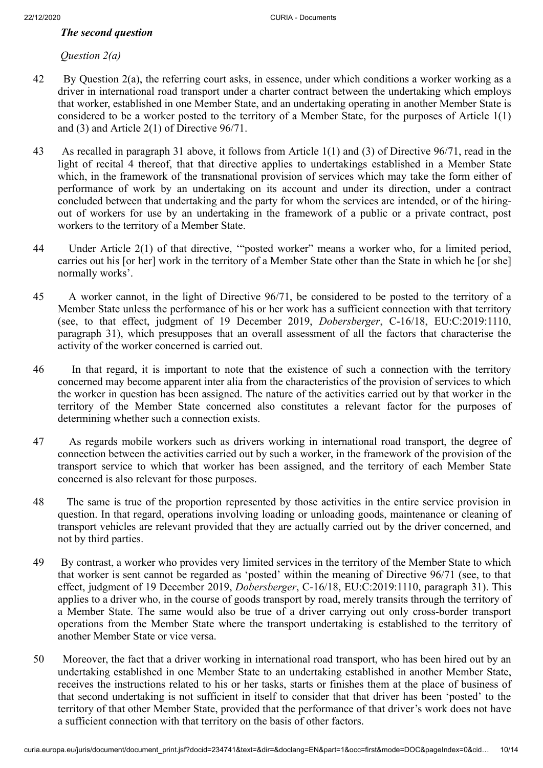## *The second question*

## *Question 2(a)*

- 42 By Question 2(a), the referring court asks, in essence, under which conditions a worker working as a driver in international road transport under a charter contract between the undertaking which employs that worker, established in one Member State, and an undertaking operating in another Member State is considered to be a worker posted to the territory of a Member State, for the purposes of Article 1(1) and (3) and Article 2(1) of Directive 96/71.
- 43 As recalled in paragraph 31 above, it follows from Article 1(1) and (3) of Directive 96/71, read in the light of recital 4 thereof, that that directive applies to undertakings established in a Member State which, in the framework of the transnational provision of services which may take the form either of performance of work by an undertaking on its account and under its direction, under a contract concluded between that undertaking and the party for whom the services are intended, or of the hiringout of workers for use by an undertaking in the framework of a public or a private contract, post workers to the territory of a Member State.
- 44 Under Article 2(1) of that directive, '"posted worker" means a worker who, for a limited period, carries out his [or her] work in the territory of a Member State other than the State in which he [or she] normally works'.
- 45 A worker cannot, in the light of Directive 96/71, be considered to be posted to the territory of a Member State unless the performance of his or her work has a sufficient connection with that territory (see, to that effect, judgment of 19 December 2019, *Dobersberger*, C‑16/18, EU:C:2019:1110, paragraph 31), which presupposes that an overall assessment of all the factors that characterise the activity of the worker concerned is carried out.
- 46 In that regard, it is important to note that the existence of such a connection with the territory concerned may become apparent inter alia from the characteristics of the provision of services to which the worker in question has been assigned. The nature of the activities carried out by that worker in the territory of the Member State concerned also constitutes a relevant factor for the purposes of determining whether such a connection exists.
- 47 As regards mobile workers such as drivers working in international road transport, the degree of connection between the activities carried out by such a worker, in the framework of the provision of the transport service to which that worker has been assigned, and the territory of each Member State concerned is also relevant for those purposes.
- 48 The same is true of the proportion represented by those activities in the entire service provision in question. In that regard, operations involving loading or unloading goods, maintenance or cleaning of transport vehicles are relevant provided that they are actually carried out by the driver concerned, and not by third parties.
- 49 By contrast, a worker who provides very limited services in the territory of the Member State to which that worker is sent cannot be regarded as 'posted' within the meaning of Directive 96/71 (see, to that effect, judgment of 19 December 2019, *Dobersberger*, C‑16/18, EU:C:2019:1110, paragraph 31). This applies to a driver who, in the course of goods transport by road, merely transits through the territory of a Member State. The same would also be true of a driver carrying out only cross-border transport operations from the Member State where the transport undertaking is established to the territory of another Member State or vice versa.
- 50 Moreover, the fact that a driver working in international road transport, who has been hired out by an undertaking established in one Member State to an undertaking established in another Member State, receives the instructions related to his or her tasks, starts or finishes them at the place of business of that second undertaking is not sufficient in itself to consider that that driver has been 'posted' to the territory of that other Member State, provided that the performance of that driver's work does not have a sufficient connection with that territory on the basis of other factors.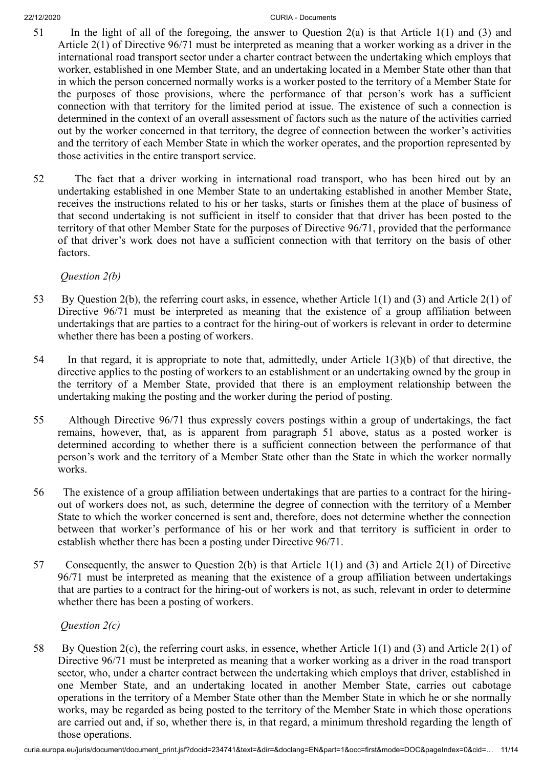- 51 In the light of all of the foregoing, the answer to Question 2(a) is that Article 1(1) and (3) and Article 2(1) of Directive 96/71 must be interpreted as meaning that a worker working as a driver in the international road transport sector under a charter contract between the undertaking which employs that worker, established in one Member State, and an undertaking located in a Member State other than that in which the person concerned normally works is a worker posted to the territory of a Member State for the purposes of those provisions, where the performance of that person's work has a sufficient connection with that territory for the limited period at issue. The existence of such a connection is determined in the context of an overall assessment of factors such as the nature of the activities carried out by the worker concerned in that territory, the degree of connection between the worker's activities and the territory of each Member State in which the worker operates, and the proportion represented by those activities in the entire transport service.
- 52 The fact that a driver working in international road transport, who has been hired out by an undertaking established in one Member State to an undertaking established in another Member State, receives the instructions related to his or her tasks, starts or finishes them at the place of business of that second undertaking is not sufficient in itself to consider that that driver has been posted to the territory of that other Member State for the purposes of Directive 96/71, provided that the performance of that driver's work does not have a sufficient connection with that territory on the basis of other factors.

*Question 2(b)*

- 53 By Question 2(b), the referring court asks, in essence, whether Article 1(1) and (3) and Article 2(1) of Directive 96/71 must be interpreted as meaning that the existence of a group affiliation between undertakings that are parties to a contract for the hiring-out of workers is relevant in order to determine whether there has been a posting of workers.
- 54 In that regard, it is appropriate to note that, admittedly, under Article 1(3)(b) of that directive, the directive applies to the posting of workers to an establishment or an undertaking owned by the group in the territory of a Member State, provided that there is an employment relationship between the undertaking making the posting and the worker during the period of posting.
- 55 Although Directive 96/71 thus expressly covers postings within a group of undertakings, the fact remains, however, that, as is apparent from paragraph 51 above, status as a posted worker is determined according to whether there is a sufficient connection between the performance of that person's work and the territory of a Member State other than the State in which the worker normally works.
- 56 The existence of a group affiliation between undertakings that are parties to a contract for the hiringout of workers does not, as such, determine the degree of connection with the territory of a Member State to which the worker concerned is sent and, therefore, does not determine whether the connection between that worker's performance of his or her work and that territory is sufficient in order to establish whether there has been a posting under Directive 96/71.
- 57 Consequently, the answer to Question 2(b) is that Article 1(1) and (3) and Article 2(1) of Directive 96/71 must be interpreted as meaning that the existence of a group affiliation between undertakings that are parties to a contract for the hiring-out of workers is not, as such, relevant in order to determine whether there has been a posting of workers.

*Question 2(c)*

58 By Question 2(c), the referring court asks, in essence, whether Article 1(1) and (3) and Article 2(1) of Directive 96/71 must be interpreted as meaning that a worker working as a driver in the road transport sector, who, under a charter contract between the undertaking which employs that driver, established in one Member State, and an undertaking located in another Member State, carries out cabotage operations in the territory of a Member State other than the Member State in which he or she normally works, may be regarded as being posted to the territory of the Member State in which those operations are carried out and, if so, whether there is, in that regard, a minimum threshold regarding the length of those operations.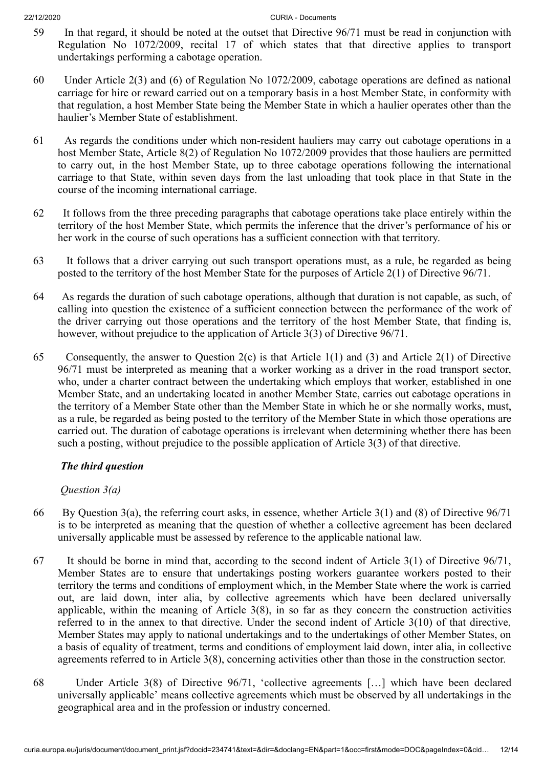- 59 In that regard, it should be noted at the outset that Directive 96/71 must be read in conjunction with Regulation No 1072/2009, recital 17 of which states that that directive applies to transport undertakings performing a cabotage operation.
- 60 Under Article 2(3) and (6) of Regulation No 1072/2009, cabotage operations are defined as national carriage for hire or reward carried out on a temporary basis in a host Member State, in conformity with that regulation, a host Member State being the Member State in which a haulier operates other than the haulier's Member State of establishment.
- 61 As regards the conditions under which non-resident hauliers may carry out cabotage operations in a host Member State, Article 8(2) of Regulation No 1072/2009 provides that those hauliers are permitted to carry out, in the host Member State, up to three cabotage operations following the international carriage to that State, within seven days from the last unloading that took place in that State in the course of the incoming international carriage.
- 62 It follows from the three preceding paragraphs that cabotage operations take place entirely within the territory of the host Member State, which permits the inference that the driver's performance of his or her work in the course of such operations has a sufficient connection with that territory.
- 63 It follows that a driver carrying out such transport operations must, as a rule, be regarded as being posted to the territory of the host Member State for the purposes of Article 2(1) of Directive 96/71.
- 64 As regards the duration of such cabotage operations, although that duration is not capable, as such, of calling into question the existence of a sufficient connection between the performance of the work of the driver carrying out those operations and the territory of the host Member State, that finding is, however, without prejudice to the application of Article 3(3) of Directive 96/71.
- 65 Consequently, the answer to Question 2(c) is that Article 1(1) and (3) and Article 2(1) of Directive 96/71 must be interpreted as meaning that a worker working as a driver in the road transport sector, who, under a charter contract between the undertaking which employs that worker, established in one Member State, and an undertaking located in another Member State, carries out cabotage operations in the territory of a Member State other than the Member State in which he or she normally works, must, as a rule, be regarded as being posted to the territory of the Member State in which those operations are carried out. The duration of cabotage operations is irrelevant when determining whether there has been such a posting, without prejudice to the possible application of Article 3(3) of that directive.

# *The third question*

# *Question 3(a)*

- 66 By Question 3(a), the referring court asks, in essence, whether Article 3(1) and (8) of Directive 96/71 is to be interpreted as meaning that the question of whether a collective agreement has been declared universally applicable must be assessed by reference to the applicable national law.
- 67 It should be borne in mind that, according to the second indent of Article 3(1) of Directive 96/71, Member States are to ensure that undertakings posting workers guarantee workers posted to their territory the terms and conditions of employment which, in the Member State where the work is carried out, are laid down, inter alia, by collective agreements which have been declared universally applicable, within the meaning of Article 3(8), in so far as they concern the construction activities referred to in the annex to that directive. Under the second indent of Article 3(10) of that directive, Member States may apply to national undertakings and to the undertakings of other Member States, on a basis of equality of treatment, terms and conditions of employment laid down, inter alia, in collective agreements referred to in Article 3(8), concerning activities other than those in the construction sector.
- 68 Under Article 3(8) of Directive 96/71, 'collective agreements […] which have been declared universally applicable' means collective agreements which must be observed by all undertakings in the geographical area and in the profession or industry concerned.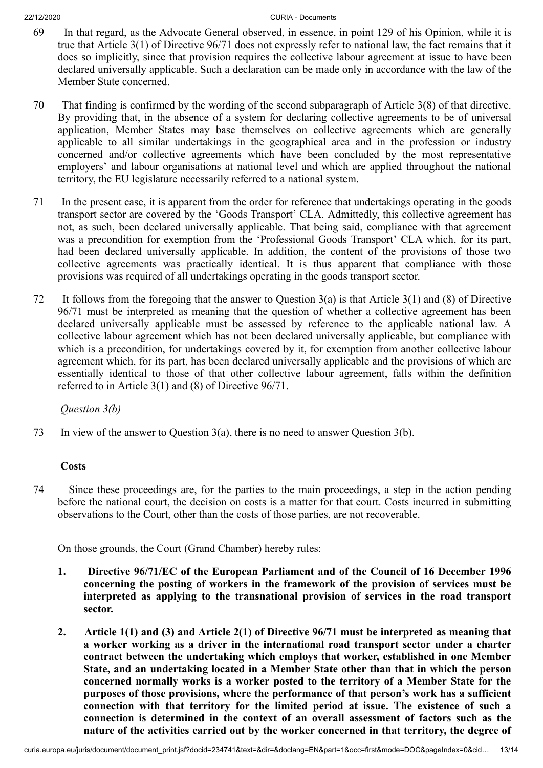- 69 In that regard, as the Advocate General observed, in essence, in point 129 of his Opinion, while it is true that Article 3(1) of Directive 96/71 does not expressly refer to national law, the fact remains that it does so implicitly, since that provision requires the collective labour agreement at issue to have been declared universally applicable. Such a declaration can be made only in accordance with the law of the Member State concerned.
- 70 That finding is confirmed by the wording of the second subparagraph of Article 3(8) of that directive. By providing that, in the absence of a system for declaring collective agreements to be of universal application, Member States may base themselves on collective agreements which are generally applicable to all similar undertakings in the geographical area and in the profession or industry concerned and/or collective agreements which have been concluded by the most representative employers' and labour organisations at national level and which are applied throughout the national territory, the EU legislature necessarily referred to a national system.
- 71 In the present case, it is apparent from the order for reference that undertakings operating in the goods transport sector are covered by the 'Goods Transport' CLA. Admittedly, this collective agreement has not, as such, been declared universally applicable. That being said, compliance with that agreement was a precondition for exemption from the 'Professional Goods Transport' CLA which, for its part, had been declared universally applicable. In addition, the content of the provisions of those two collective agreements was practically identical. It is thus apparent that compliance with those provisions was required of all undertakings operating in the goods transport sector.
- 72 It follows from the foregoing that the answer to Question 3(a) is that Article 3(1) and (8) of Directive 96/71 must be interpreted as meaning that the question of whether a collective agreement has been declared universally applicable must be assessed by reference to the applicable national law. A collective labour agreement which has not been declared universally applicable, but compliance with which is a precondition, for undertakings covered by it, for exemption from another collective labour agreement which, for its part, has been declared universally applicable and the provisions of which are essentially identical to those of that other collective labour agreement, falls within the definition referred to in Article 3(1) and (8) of Directive 96/71.

*Question 3(b)*

73 In view of the answer to Question 3(a), there is no need to answer Question 3(b).

# **Costs**

74 Since these proceedings are, for the parties to the main proceedings, a step in the action pending before the national court, the decision on costs is a matter for that court. Costs incurred in submitting observations to the Court, other than the costs of those parties, are not recoverable.

On those grounds, the Court (Grand Chamber) hereby rules:

- **1. Directive 96/71/EC of the European Parliament and of the Council of 16 December 1996 concerning the posting of workers in the framework of the provision of services must be interpreted as applying to the transnational provision of services in the road transport sector.**
- **2. Article 1(1) and (3) and Article 2(1) of Directive 96/71 must be interpreted as meaning that a worker working as a driver in the international road transport sector under a charter contract between the undertaking which employs that worker, established in one Member State, and an undertaking located in a Member State other than that in which the person concerned normally works is a worker posted to the territory of a Member State for the purposes of those provisions, where the performance of that person's work has a sufficient connection with that territory for the limited period at issue. The existence of such a connection is determined in the context of an overall assessment of factors such as the nature of the activities carried out by the worker concerned in that territory, the degree of**